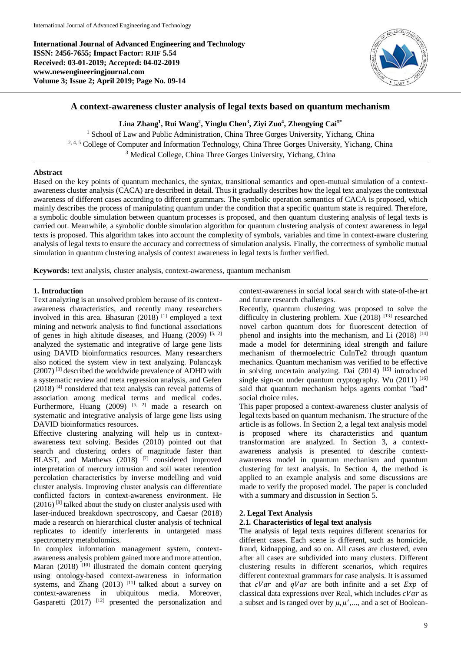**International Journal of Advanced Engineering and Technology ISSN: 2456-7655; Impact Factor: RJIF 5.54 Received: 03-01-2019; Accepted: 04-02-2019 www.newengineeringjournal.com Volume 3; Issue 2; April 2019; Page No. 09-14**



# **A context-awareness cluster analysis of legal texts based on quantum mechanism**

**Lina Zhang<sup>1</sup> , Rui Wang<sup>2</sup> , Yinglu Chen<sup>3</sup> , Ziyi Zuo<sup>4</sup> , Zhengying Cai5\***

<sup>1</sup> School of Law and Public Administration, China Three Gorges University, Yichang, China <sup>2, 4, 5</sup> College of Computer and Information Technology, China Three Gorges University, Yichang, China <sup>3</sup> Medical College, China Three Gorges University, Yichang, China

## **Abstract**

Based on the key points of quantum mechanics, the syntax, transitional semantics and open-mutual simulation of a contextawareness cluster analysis (CACA) are described in detail. Thus it gradually describes how the legal text analyzes the contextual awareness of different cases according to different grammars. The symbolic operation semantics of CACA is proposed, which mainly describes the process of manipulating quantum under the condition that a specific quantum state is required. Therefore, a symbolic double simulation between quantum processes is proposed, and then quantum clustering analysis of legal texts is carried out. Meanwhile, a symbolic double simulation algorithm for quantum clustering analysis of context awareness in legal texts is proposed. This algorithm takes into account the complexity of symbols, variables and time in context-aware clustering analysis of legal texts to ensure the accuracy and correctness of simulation analysis. Finally, the correctness of symbolic mutual simulation in quantum clustering analysis of context awareness in legal texts is further verified.

**Keywords:** text analysis, cluster analysis, context-awareness, quantum mechanism

## **1. Introduction**

Text analyzing is an unsolved problem because of its contextawareness characteristics, and recently many researchers involved in this area. Bhasuran (2018) [1] employed a text mining and network analysis to find functional associations of genes in high altitude diseases, and Huang  $(2009)$  [5, 2] analyzed the systematic and integrative of large gene lists using DAVID bioinformatics resources. Many researchers also noticed the system view in text analyzing. Polanczyk (2007) [3] described the worldwide prevalence of ADHD with a systematic review and meta regression analysis, and Gefen  $(2018)$ <sup>[4]</sup> considered that text analysis can reveal patterns of association among medical terms and medical codes. Furthermore, Huang  $(2009)$  <sup>[5, 2]</sup> made a research on systematic and integrative analysis of large gene lists using DAVID bioinformatics resources.

Effective clustering analyzing will help us in contextawareness text solving. Besides (2010) pointed out that search and clustering orders of magnitude faster than BLAST, and Matthews (2018) <sup>[7]</sup> considered improved interpretation of mercury intrusion and soil water retention percolation characteristics by inverse modelling and void cluster analysis. Improving cluster analysis can differentiate conflicted factors in context-awareness environment. He  $(2016)$ <sup>[8]</sup> talked about the study on cluster analysis used with laser-induced breakdown spectroscopy, and Caesar (2018) made a research on hierarchical cluster analysis of technical replicates to identify interferents in untargeted mass spectrometry metabolomics.

In complex information management system, contextawareness analysis problem gained more and more attention. Maran (2018) [10] illustrated the domain content querying using ontology-based context-awareness in information systems, and Zhang  $(2013)$  <sup>[11]</sup> talked about a survey on context-awareness in ubiquitous media. Moreover, Gasparetti (2017)  $[12]$  presented the personalization and context-awareness in social local search with state-of-the-art and future research challenges.

Recently, quantum clustering was proposed to solve the difficulty in clustering problem. Xue (2018) [13] researched novel carbon quantum dots for fluorescent detection of phenol and insights into the mechanism, and Li  $(2018)$ <sup>[14]</sup> made a model for determining ideal strength and failure mechanism of thermoelectric CuInTe2 through quantum mechanics. Quantum mechanism was verified to be effective in solving uncertain analyzing. Dai (2014) [15] introduced single sign-on under quantum cryptography. Wu  $(2011)^{[16]}$ said that quantum mechanism helps agents combat "bad" social choice rules.

This paper proposed a context-awareness cluster analysis of legal texts based on quantum mechanism. The structure of the article is as follows. In Section 2, a legal text analysis model is proposed where its characteristics and quantum transformation are analyzed. In Section 3, a contextawareness analysis is presented to describe contextawareness model in quantum mechanism and quantum clustering for text analysis. In Section 4, the method is applied to an example analysis and some discussions are made to verify the proposed model. The paper is concluded with a summary and discussion in Section 5.

### **2. Legal Text Analysis**

### **2.1. Characteristics of legal text analysis**

The analysis of legal texts requires different scenarios for different cases. Each scene is different, such as homicide, fraud, kidnapping, and so on. All cases are clustered, even after all cases are subdivided into many clusters. Different clustering results in different scenarios, which requires different contextual grammars for case analysis. It is assumed that  $cVar$  and  $qVar$  are both infinite and a set  $Exp$  of classical data expressions over Real, which includes  $cVar$  as a subset and is ranged over by  $\mu$ ,  $\mu'$ ,..., and a set of Boolean-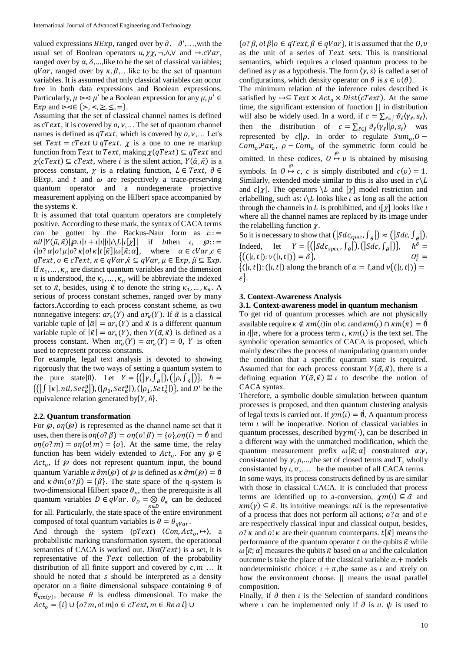valued expressions  $BExp$ , ranged over by  $\partial$ ,  $\partial',...$ , with the usual set of Boolean operators  $u$ ,  $\chi\chi$ , ¬, $\Lambda$ , $V$  and  $\rightarrow$ . $cVar$ , ranged over by  $\alpha$ ,  $\delta$ ,...,like to be the set of classical variables;  $qVar$ , ranged over by  $\kappa$ ,  $\beta$ ,... like to be the set of quantum variables. It is assumed that only classical variables can occur free in both data expressions and Boolean expressions. Particularly,  $\mu \geq \mu'$  be a Boolean expression for any  $\mu, \mu' \in$ Exp and  $\triangleright \triangleleft \in \{ \succ, \prec, \geq, \leq, = \}.$ 

Assuming that the set of classical channel names is defined as  $\mathcal{C}Text$ , it is covered by  $o, \nu, \ldots$  The set of quantum channel names is defined as  $qText$ , which is covered by  $o, v, \ldots$  Let's set  $Text = cText \cup qText$ .  $\chi$  is a one to one re markup function from Text to Text, making  $\chi(qText) \subseteq qText$  and  $\chi(cText) \subseteq cText$ , where *i* is the silent action,  $Y(\tilde{\alpha}, \tilde{\kappa})$  is a process constant,  $\chi$  is a relating function,  $L \in Text$ ,  $\partial \in$ BE $xp$ , and  $t$  and  $\omega$  are respectively a trace-preserving quantum operator and a nondegenerate projective measurement applying on the Hilbert space accompanied by the systems  $\tilde{\kappa}$ .

It is assumed that total quantum operators are completely positive. According to these mark, the syntax of CACA terms can be gotten by the Backus-Naur form as  $\iota$ : =  $nil|Y(\tilde{\mu}, \tilde{\kappa})|\varphi_{\cdot} \iota|_{\iota} + \iota|\iota||\iota|\iota\setminus L|\iota[\chi]|$  if bthen  $\iota, \varphi$ ::=  $i|o? \alpha|o! \mu|o? \kappa|o! \kappa|t[\tilde{\kappa}]|\omega[\tilde{\kappa};\alpha],$  where  $\alpha \in cVar, c \in$  $qText, o \in cText, \kappa \in qVar, \tilde{\kappa} \subseteq qVar, \mu \in Exp, \tilde{\mu} \subseteq Exp.$ If  $\kappa_1, \ldots, \kappa_n$  are distinct quantum variables and the dimension *n* is understood, the  $\kappa_1, \ldots, \kappa_n$  will be abbreviate the indexed set to  $\tilde{\kappa}$ , besides, using  $\tilde{\kappa}$  to denote the string  $\kappa_1, \ldots, \kappa_n$ . A serious of process constant schemes, ranged over by many factors.According to each process constant scheme, as two nonnegative integers:  $ar_{o}(Y)$  and  $ar_{\kappa}(Y)$ . If  $\tilde{\alpha}$  is a classical variable tuple of  $|\tilde{\alpha}| = ar_o(Y)$  and  $\tilde{\kappa}$  is a different quantum variable tuple of  $|\tilde{\kappa}| = ar_{\kappa}(Y)$ , then  $Y(\tilde{\alpha}, \tilde{\kappa})$  is defined as a process constant. When  $ar_{o}(Y) = ar_{K}(Y) = 0$ , Y is often used to represent process constants.

For example, legal text analysis is devoted to showing rigorously that the two ways of setting a quantum system to the pure state 0). Let  $Y = \{ (|\gamma, \int_{\theta}|), (|\rho, \int_{\theta}|) \}, \quad \hbar =$  $\{ ( \int [k] \cdot nil, Set_{\kappa}^{0} | ), ( \vert \rho_0, Set_{\kappa}^{0} | ), ( \vert \rho_1, Set_{\kappa}^{1} | ) \}, \text{ and } D' \text{ be the }$ equivalence relation generated by $\{Y, \hbar\}.$ 

### **2.2. Quantum transformation**

For  $\wp$ ,  $\mathfrak{on}(\wp)$  is represented as the channel name set that it uses, then there is  $\varphi(\theta) = \varphi(\theta) = \varphi(\theta) = {\varphi}$  and  $\varphi(n)(\varphi(m)) = \varphi(n) = \{o\}$ . At the same time, the relay function has been widely extended to  $Act_o$ . For any  $\wp \in$  $Act_o$ , If  $\wp$  does not represent quantum input, the bound quantum Variable  $\kappa \partial m(\varphi)$  of  $\varphi$  is defined as  $\kappa \partial m(\varphi) = \emptyset$ and  $\kappa \partial m(o? \beta) = {\beta}$ . The state space of the q-system is two-dimensional Hilbert space  $\theta_{\kappa}$ , then the prerequisite is all quantum variables  $D \in qVar$ .  $\theta_D = \bigotimes_{\kappa \in D} \theta_{\kappa}$  can be deduced for all. Particularly, the state space of the entire environment composed of total quantum variables is  $\theta = \theta_{\alpha Var}$ .

And through the system (pText)  $\langle Con, Act_0, \rightarrow \rangle$ , a probabilistic marking transformation system, the operational semantics of CACA is worked out. *Dist*(Text) is a set, it is representative of the Text collection of the probability distribution of all finite support and covered by  $c, m$  ... It should be noted that  $s$  should be interpreted as a density operator on a finite dimensional subspace containing  $\theta$  of  $\theta_{\kappa m(\gamma)}$ , because  $\theta$  is endless dimensional. To make the  $Act_{o} = \{i\} \cup \{o? \, m, o! \, m | o \in cText, m \in Re \, a \, l\} \cup$ 

 $\{o? \beta, o. \beta\}$   $o \in qText, \beta \in qVar\}$ , it is assumed that the  $O, v$ as the unit of a series of  $Text$  sets. This is transitional semantics, which requires a closed quantum process to be defined as  $\gamma$  as a hypothesis. The form  $\langle \gamma, s \rangle$  is called a set of configurations, which density operator on  $\theta$  is  $s \in v(\theta)$ .

The minimum relation of the inference rules described is satisfied by  $\mapsto \subseteq Text \times Act_0 \times Dist(CText)$ . At the same time, the significant extension of function || in distribution will also be widely used. In a word, if  $c = \sum_{\ell=1}^{\infty} \vartheta_{\ell} \langle \gamma_{\ell}, s_{\ell} \rangle$ , then the distribution of  $c = \sum_{\ell \in \int} \vartheta_{\ell} \langle \gamma_{\ell} || \rho, s_{\ell} \rangle$  was represented by  $c \parallel \rho$ . In order to regulate  $Sum<sub>o</sub>, O$  –  $Com<sub>o</sub>, Par<sub>o</sub>, \rho - Com<sub>o</sub>$  of the symmetric form could be omitted. In these codices,  $0 \overset{\wp}{\mapsto} v$  is obtained by misusing symbols. In  $0 \stackrel{\varphi}{\mapsto} c$ , c is simply distributed and  $c(v) = 1$ . Similarly, extended mode similar to this is also used in  $c \backslash L$ and  $c[\chi]$ . The operators  $\setminus L$  and  $[\chi]$  model restriction and erlabelling, such as:  $\iota \backslash L$  looks like  $\iota$  as long as all the action through the channels in L is prohibitted, and  $\iota[\chi]$  looks like  $\iota$ where all the channel names are replaced by its image under the relabelling function  $\chi$ .

So it is necessary to show that  $(|Sdc_{spec}, \int_{\theta}|) \approx (|Sdc, \int_{\theta}|).$ Indeed, let  $Y = \{ (|Sdc_{spec}, \int_{\theta} |), (|Sdc, \int_{\theta} |) \}, \quad \hbar^{\delta} =$  ${((|l,t|): \nu(|l,t|)) = \delta},$  $\frac{\varepsilon}{\ell}$  =  $\{(l, t): (l, t) \text{ along the branch of } \alpha = \ell, \text{ and } \nu((l, t)) \}$  $\epsilon$ .

## **3. Context-Awareness Analysis**

#### **3.1. Context-awareness model in quantum mechanism**

To get rid of quantum processes which are not physically available require  $\kappa \notin \kappa m(\iota)$ in  $o! \kappa$ . and  $\kappa m(\iota) \cap \kappa m(\pi) = 0$ in  $\ell \parallel \pi$ , where for a process term  $\ell$ ,  $\kappa m(\ell)$  is the text set. The symbolic operation semantics of CACA is proposed, which mainly describes the process of manipulating quantum under the condition that a specific quantum state is required. Assumed that for each process constant  $Y(\tilde{\alpha}, \tilde{\kappa})$ , there is a defining equation  $Y(\tilde{\alpha}, \tilde{\kappa}) \stackrel{\text{def}}{=} \iota$  to describe the notion of CACA syntax.

Therefore, a symbolic double simulation between quantum processes is proposed, and then quantum clustering analysis of legal texts is carried out. If  $\chi m(t) = \emptyset$ , A quantum process term  $\iota$  will be inoperative. Notion of classical variables in quantum processes, described by $\chi m(\cdot)$ , can be described in a different way with the unmatched modification, which the quantum measurement prefix  $\omega[\tilde{\kappa};\alpha]$  constrainted  $\alpha.\gamma$ , consistanted by  $\gamma$ ,  $\rho$ ,...,the set of closed terms and T, wholly consistanted by  $\iota, \pi, \ldots$ , be the member of all CACA terms. In some ways, its process constructs defined by us are similar with those in classical CACA. It is concluded that process terms are identified up to a-conversion,  $\gamma m(t) \subseteq \tilde{\alpha}$  and  $\kappa m(\gamma) \subseteq \tilde{\kappa}$ . Its intuitive meanings: *nil* is the representative of a process that does not perform all actions;  $o? \alpha$  and  $o! e$ are respectively classical input and classical output, besides,  $o$ ?  $\kappa$  and  $o$ !  $\kappa$  are their quantum counterparts.  $t[\tilde{\kappa}]$  means the performance of the quantum operator t on the qubits  $\tilde{\kappa}$  while  $\omega[\tilde{\kappa}; \alpha]$  measures the qubits  $\tilde{\kappa}$  based on  $\omega$  and the calculation outcome is take the place of the classical variable  $\alpha$ . + models nondeterministic choice:  $t + \pi$ , the same as  $\iota$  and  $\pi$ rely on how the environment choose.  $\parallel$  means the usual parallel composition.

Finally, if  $\partial$  then  $\iota$  is the Selection of standard conditions where  $\iota$  can be implemented only if  $\partial$  is  $\iota \iota$ .  $\psi$  is used to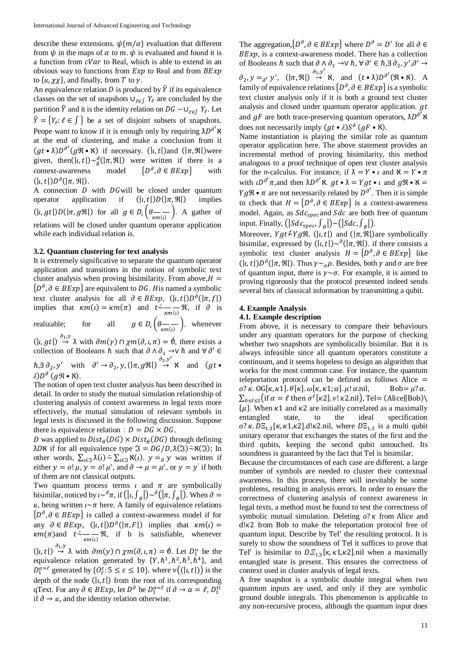describe these extensions.  $\psi\{m/\alpha\}$  evaluation that different from  $\psi$  in the maps of  $\alpha$  to  $m$ .  $\psi$  is evaluated and found it is a function from  $cVar$  to Real, which is able to extend in an obvious way to functions from  $Exp$  to Real and from  $BExp$ to  $\{u, \chi\chi\}$ , and finally, from T to  $\gamma$ . An equivalence relation  $D$  is produced by  $\tilde{Y}$  if its equivalence classes on the set of snapshots  $\cup_{\ell \in \int} Y_{\ell}$  are concluded by the

partition  $\tilde{Y}$  and it is the identity relation on  $DG - \cup_{\ell \in \int Y_{\ell}} Y_{\ell}$ . Let  $\tilde{Y} = \{Y_{\ell} : \ell \in \mathcal{S}\}\$ be a set of disjoint subsets of snapshots. Peope want to know if it is enough only by requiring  $\lambda D^{\partial'}$  **x** at the end of clustering, and make a conclusion from it  $(gt \cdot \lambda) D^{\partial'}(g \mathcal{R} \cdot \lambda)$  if necessary.  $(|\iota, t|)$  and  $(|\pi, \mathcal{R}|)$  were given, then( $|l, t| > \frac{\partial}{\partial}(|\pi, \Re|)$  were written if there is a context-awareness model {  $\partial$ , ∂ ∈ BExp} with  $(|\iota,t|)D^{\partial}(|\pi,\mathfrak{R}|).$ 

A connection  $D$  with  $DG$  will be closed under quantum operator application if  $(|\iota,t|)D(|\pi,\mathfrak{R}|)$  implies  $(|\iota, gt|)D(|\pi, g\mathfrak{R}|)$  for all  $g \in D_{\iota}(\theta \to -\infty)$ . A gather of relations will be closed under quantum operator application while each individual relation is.

## **3.2. Quantum clustering for text analysis**

It is extremely significative to separate the quantum operator application and transitions in the notion of symbolic text cluster analysis when proving bisimilarity. From above,  $H =$  $\{D^{\partial}, \partial \in BExp\}$  are equivalent to DG. His named a symbolic text cluster analysis for all  $\partial \in BExp$ ,  $(|\iota, t|)D^{\partial}(|\pi, f|)$ implies that  $\kappa m(t) = \kappa m(\pi)$  and  $t \sim \frac{1}{\kappa m(t)} \Re$ , if  $\partial$  is realizable; for all  $g \in D_i \left( \theta \right)_{\kappa m(i)}$ , whenever  $(|\iota, gt|) \stackrel{\partial_1, y}{\rightarrow} \lambda$  with  $\partial m(\gamma) \cap \chi m(\partial, \iota, \pi) = \emptyset$ , there exists a collection of Booleans  $\hbar$  such that  $\partial \wedge \partial_1 \to \vee \hbar$  and  $\forall \partial' \in$ 

 $\hbar, \exists \partial_2, y'$  with  $\partial' \to \partial_2, y, (\vert \pi, g\Re \vert) \stackrel{\partial_2, y'}{\to} \aleph$  and  $(gt \bullet)$ *ƛ*) ∂ *′* (*ℜ* • *ℵ*).

The notion of open text cluster analysis has been described in detail. In order to study the mutual simulation relationship of clustering analysis of context awareness in legal texts more effectively, the mutual simulation of relevant symbols in legal texts is discussed in the following discussion. Suppose there is equivalence relation:  $D = DG \times DG$ ,

D was applied to  $Dist_{\theta}(DG) \times Dist_{\theta}(DG)$  through defining  $\lambda$ DN if for all equivalence type  $\mathfrak{I} = DG/D$ ,  $\lambda(\mathfrak{I}) \sim \aleph(\mathfrak{I})$ ; In other words,  $\sum_{\iota \in \mathfrak{F}} \tilde{\lambda}(\iota) \sim \sum_{\iota \in \mathfrak{F}} \aleph(\iota)$ .  $y =_{\partial} y$  was written if either  $y = o! \mu$ ,  $y = o! \mu'$ , and  $\partial \rightarrow \mu = \mu'$ , or  $y = y'$  if both of them are not classical outputs.

Two quantum process terms  $\iota$  and  $\pi$  are symbolically bisimilar, noticed by  $\iota^{\infty}$ <sup> $\theta$ </sup> $\pi$ , if  $(|\iota, \int_{\theta}])^{\infty}$  $\theta$  $(|\pi, \int_{\theta}])$ . When  $\partial =$ u, being written  $\iota \sim \pi$  here. A family of equivalence relations { $D^{\partial}$ , ∂ ∈ BExp} is called a context-awareness model if for any  $\partial \in BExp$ ,  $(|\iota, t|)D^{\partial}(|\pi, F|)$  implies that  $\kappa m(\iota) =$  $\kappa m(\pi)$  and  $t \sim \frac{1}{\kappa m(t)} \Re$ , if b is satisfiable, whenever

 $(|i, t|) \stackrel{\partial_1, y}{\rightarrow} \lambda$  with  $\partial m(y) \cap \chi m(\partial, i, \pi) = \emptyset$ . Let  $D_1^u$  be the equivalence relation generated by  $\{Y, \hbar^1, \hbar^2, \hbar^3, \hbar^4\}$ , and  $D_1^{\alpha=\ell}$  generated by  $\{O_{\ell}^{\varepsilon} : 5 \leq \varepsilon \leq 10\}$ . where  $\nu((|t,t|))$  is the depth of the node  $(|i, t|)$  from the root of its corresponding qText. For any  $\partial \in BExp$ , let  $D^{\partial}$  be  $D_1^{\alpha=\ell}$  if  $\partial \to \alpha=\ell$ ,  $D_1^{tt}$ if  $\partial \rightarrow u$ , and the identity relation otherwise.

The aggregation, $\{D^{\partial}, \partial \in BExp\}$  where  $D^{\partial} = D'$  for all  $\partial \in$  $BExp$ , is a context-awareness model. There has a collection of Booleans  $\hbar$  such that  $\partial \wedge \partial_1 \to \vee \hbar$ ,  $\forall \partial' \in \hbar$ ,  $\exists \partial_2$ ,  $y', \partial' \to \partial'$  $\partial_2$ ,  $y =_{\partial'} y'$ ,  $(|\pi, \Re|) \stackrel{\partial_2, y'}{\rightarrow} \aleph$ , and  $(t \cdot \lambda) D^{\partial'} (\Re \cdot \aleph)$ . A family of equivalence relations  $\{D^{\partial}, \partial \in BExp\}$  is a symbolic text cluster analysis only if it is both a ground text cluster analysis and closed under quantum operator application.  $gt$ and  $gF$  are both trace-preserving quantum operators,  $\lambda D^{\partial'}$  X does not necessarily imply  $(gt \cdot \lambda) S^{\partial'}(gF \cdot \lambda)$ .

Name instantiation is playing the similar role as quantum operator application here. The above statement provides an incremental method of proving bisimilarity, this method analogous to a proof technique of open text cluster analysis for the *n*-calculus. For instance, if  $\lambda = Y \cdot \iota$  and  $\lambda = Y \cdot \pi$ with  $\iota D^{\partial'} \pi$ , and then  $\lambda D^{\partial'} \aleph$ .  $gt \bullet \lambda = Ygt \bullet \iota$  and  $g \Re \bullet \aleph =$  $Yg\mathfrak{R} \bullet \pi$  are not necessarily related by  $D^{\partial'}$ . Then it is simple to check that  $H = \{D^{\partial}, \partial \in BExp\}$  is a context-awareness model. Again, as  $Sdc_{spec}$  and  $Sdc$  are both free of quantum input. Finally,  $(|Sdc_{spec}, \int_{\theta}|) \sim (|Sdc, \int_{\theta}|)$ .

Moreover,  $Ygt\neq Yg\Re$ . (|,t|) and (| $\pi$ ,  $\Re$ )are symbolically bisimilar, expressed by  $(|\iota, t|) \sim \partial(|\pi, \mathfrak{R}|)$ . if there consists a symbolic text cluster analysis  $H = \{D^{\partial}, \partial \in BExp\}$  like  $(|\iota, t|)D^{\partial}(|\pi, \mathfrak{R}|)$ . Thus  $\gamma \sim_{\sigma} \rho$ . Besides, both  $\gamma$  and  $\sigma$  are free of quantum input, there is  $\gamma \sim \sigma$ . For example, it is aimed to proving rigorously that the protocol presented indeed sends several bits of classical information by transmitting a qubit.

# **4. Example Analysis 4.1. Example description**

From above, it is necessary to compare their behaviours under any quantum operators for the purpose of checking whether two snapshots are symbolically bisimilar. But it is always infeasible since all quantum operators constitute a continuum, and it seems hopeless to design an algorithm that works for the most common case. For instance, the quantum teleportation protocol can be defined as follows Alice  $=$  $o? \kappa$ . OG[ $\kappa$ ,  $\kappa$ 1].  $\theta[\kappa]$ .  $\omega[\kappa, \kappa$ 1;  $\alpha$ ].  $\mu$ !  $\alpha$ .nil, Bob=  $\mu$ ? $\alpha$ .  $\sum_{0\leq \ell \leq 3}$ (if  $\alpha = \ell$  then  $\sigma^{\ell}[\kappa 2]. \nu! \kappa 2. \text{nil}$ ), Tel= (Alice||Bob)\  $\{\mu\}$ . When  $\kappa$ 1 and  $\kappa$ 2 are initially correlated as a maximally entangled state, to the ideal specification o? κ.  $DE_{1,3}$ [κ, κ1,κ2].d!κ2.nil, where  $DE_{1,3}$  is a multi qubit unitary operator that exchanges the states of the first and the third qubits, keeping the second qubit untouched. Its soundness is guaranteed by the fact that Tel is bisimilar.

Because the circumstances of each case are different, a large number of symbols are needed to cluster their contextual awareness. In this process, there will inevitably be some problems, resulting in analysis errors. In order to ensure the correctness of clustering analysis of context awareness in legal texts, a method must be found to test the correctness of symbolic mutual simulation. Deleting  $\varrho$ ?  $\kappa$  from Alice and  $d\mathbf{k}$ 2 from Bob to make the teleportation protocol free of quantum input. Describe by Tel' the resulting protocol. It is surely to show the soundness of Tel it suffices to prove that Tel' is bisimilar to  $DE_{1,3}[\kappa, \kappa 1, \kappa 2]$ .nil when a maximally entangled state is present. This ensures the correctness of context used in cluster analysis of legal texts.

A free snapshot is a symbolic double integral when two quantum inputs are used, and only if they are symbolic ground double integrals. This phenomenon is applicable to any non-recursive process, although the quantum input does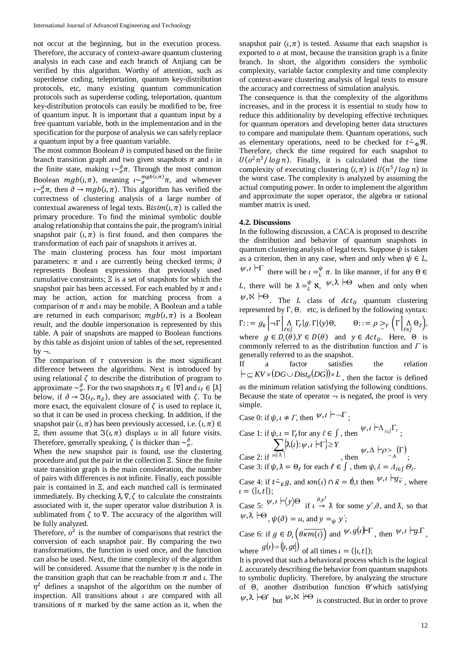not occur at the beginning, but in the execution process. Therefore, the accuracy of context-aware quantum clustering analysis in each case and each branch of Anjiang can be verified by this algorithm. Worthy of attention, such as superdense coding, teleportation, quantum key-distribution protocols, etc, many existing quantum communication protocols such as superdense coding, teleportation, quantum key-distribution protocols can easily be modified to be, free of quantum input. It is important that a quantum input by a free quantum variable, both in the implementation and in the specification for the purpose of analysis we can safely replace a quantum input by a free quantum variable.

The most common Boolean  $\partial$  is computed based on the finite branch transition graph and two given snapshots  $\pi$  and  $\iota$  in the finite state, making  $i \sim_{\sigma}^{\partial} \pi$ . Through the most common Boolean  $mgb(\iota, \pi)$ , meaning  $\iota \sim_{\sigma}^{mgb(\iota, \pi)} \pi$ , and whenever  $i \sim_{\sigma}^{\partial} \pi$ , then  $\partial \to mgb(\iota, \pi)$ . This algorithm has verified the correctness of clustering analysis of a large number of contextual awareness of legal texts. Bisim( $\iota$ ,  $\pi$ ) is called the primary procedure. To find the minimal symbolic double analog relationship that contains the pair, the program's initial snapshot pair  $(\iota, \pi)$  is first found, and then compares the transformation of each pair of snapshots it arrives at.

The main clustering process has four most important parameters:  $\pi$  and  $\iota$  are currently being checked terms;  $\partial$ represents Boolean expressions that previously used cumulative constraints; Ξ is a set of snapshots for which the snapshot pair has been accessed. For each enabled by  $\pi$  and  $\iota$ may be action, action for matching process from a comparison of  $\pi$  and  $\iota$  may be mobile. A Boolean and a table are returned in each comparison;  $mgb(t, \pi)$  is a Boolean result, and the double impersonation is represented by this table. A pair of snapshots are mapped to Boolean functions by this table as disjoint union of tables of the set, represented  $by -$ .

The comparison of  $\tau$  conversion is the most significant difference between the algorithms. Next is introduced by using relational  $\zeta$  to describe the distribution of program to approximate  $\sim_{\sigma}^{\partial}$ . For the two snapshots  $\pi_{\delta} \in [\nabla]$  and  $\iota_{\ell} \in [\lambda]$ below, if  $\partial \to \Im(\iota_{\ell}, \pi_{\delta})$ , they are associated with  $\zeta$ . To be more exact, the equivalent closure of  $\zeta$  is used to replace it, so that it can be used in process checking. In addition, if the snapshot pair  $(\iota, \pi)$  has been previously accessed, i.e.  $(\iota, \pi) \in$ Ξ, then assume that  $\Im(\iota, \pi)$  displays *u* in all future visits. Therefore, generally speaking,  $\zeta$  is thicker than  $\sim_{\sigma}^{\partial}$ .

When the new snapshot pair is found, use the clustering procedure and put the pair in the collection Ξ. Since the finite state transition graph is the main consideration, the number of pairs with differences is not infinite. Finally, each possible pair is contained in Ξ, and each matched call is terminated immediately. By checking  $\lambda$ ,  $\nabla$ ,  $\zeta$  to calculate the constraints associated with it, the super operator value distribution  $\lambda$  is sublimated from  $\zeta$  to  $\nabla$ . The accuracy of the algorithm will be fully analyzed.

Therefore,  $o^2$  is the number of comparisons that restrict the conversion of each snapshot pair. By comparing the two transformations, the function is used once, and the function can also be used. Next, the time complexity of the algorithm will be considered. Assume that the number  $\eta$  is the node in the transition graph that can be reachable from  $\pi$  and  $\iota$ . The  $\eta^2$  defines a snapshot of the algorithm on the number of inspection. All transitions about  $\iota$  are compared with all transitions of  $\pi$  marked by the same action as it, when the

snapshot pair  $(\iota, \pi)$  is tested. Assume that each snapshot is exported to  $o$  at most, because the transition graph is a finite branch. In short, the algorithm considers the symbolic complexity, variable factor complexity and time complexity of context-aware clustering analysis of legal texts to ensure the accuracy and correctness of simulation analysis.

The consequence is that the complexity of the algorithms increases, and in the process it is essential to study how to reduce this additionality by developing effective techniques for quantum operators and developing better data structures to compare and manipulate them. Quantum operations, such as elementary operations, need to be checked for  $t \bar{w}_{\phi} \mathcal{R}$ . Therefore, check the time required for each snapshot to  $U(\sigma^2 n^3 / \log n)$ . Finally, it is calculated that the time complexity of executing clustering  $(\iota, \pi)$  is  $U(n^5 / \log n)$  in the worst case. The complexity is analyzed by assuming the actual computing power. In order to implement the algorithm and approximate the super operator, the algebra or rational number matrix is used.

### **4.2. Discussions**

In the following discussion, a CACA is proposed to describe the distribution and behavior of quantum snapshots in quantum clustering analysis of legal texts. Suppose  $\psi$  is taken as a criterion, then in any case, when and only when  $\psi \in L$ ,  $\psi, \iota \vdash \Gamma$  there will be  $\iota = \frac{\psi}{L} \pi$ . In like manner, if for any  $\Theta \in$ L, there will be  $\lambda = \frac{\psi}{L} \aleph$ ,  $\psi, \lambda \models \Theta$  when and only when  $\psi, \aleph \models \Theta$ . The *L* class of *Act<sub>p</sub>* quantum clustering represented by  $\Gamma$ ,  $\Theta$ , etc, is defined by the following syntax:  $\Gamma ::= g_{\widetilde{\kappa}} \big| \neg \Gamma \big| \bigwedge_{\ell \in \int} \Gamma_{\ell} |g. \Gamma| \langle y \rangle \Theta, \qquad \Theta ::= \rho \geq_{\Upsilon} \big( \Gamma \big| \bigwedge_{\ell \in \int} \Theta_{\ell} \big),$ where  $g \in D_l(\theta), Y \in D(\theta)$  and  $y \in Act_D$ . Here,  $\Theta$  is commonly referred to as the distribution function and *Γ* is generally referred to as the snapshot. If a factor satisfies the relation  $\vdash \subseteq KV \times (DG \cup Dist_{\theta}(DG)) \times L$ , then the factor is defined as the minimum relation satisfying the following conditions.

Because the state of operator  $\neg$  is negated, the proof is very simple.

Case 0: if  $\psi$ ,  $\iota \neq \Gamma$ , then  $\psi$ ,  $\iota \models \neg \Gamma$ ;

Case 1: if 
$$
\psi
$$
,  $\iota = \Gamma_{\ell}$  for any  $\ell \in \int$ , then  $\psi$ ,  $\iota \vdash \Lambda_{\ell \in J} \Gamma_{\ell}$ ;  
\n
$$
\sum_{\text{Case 2: if } \iota \in [\lambda]} \{\lambda(\iota): \psi, \iota \vdash \Gamma\} \ge Y \qquad \psi, \Delta \vdash \rho >_{\Lambda} (\Gamma)
$$
\nCase 2: if  $\iota \in \lambda$  and  $\iota \in J$ , then  $\psi, \lambda = \Lambda_{\ell \in J} \Theta_{\ell}$ .

Case 4: if  $t \bar{z}_{\tilde{\kappa}} g$ , and  $\kappa m(t) \cap \tilde{\kappa} = \phi$ ,t then  $\psi, t \models g_{\tilde{\kappa}}$ , where

 $\iota = (|i,t|);$ Case 5:  $\psi, i \models \langle y \rangle \Theta$  if  $\iota \stackrel{\partial, y'}{\rightarrow} \lambda$  for some  $y', \partial$ , and  $\lambda$ , so that  $\psi$ ,  $\lambda \models \Theta$ ,  $\psi(\partial) = u$ , and  $y =_{\psi} y'$ ;

Case 6: if  $g \in D_i\left(\theta \overline{\kappa m(i)}\right)$  and  $\psi, g(i) \in \Gamma$ , then  $\psi, i \models g.\Gamma$ , where  $g(t) = (t, gt)$  of all times  $t = (t, t)$ ;

It is proved that such a behavioral process which is the logical L accurately describing the behavior from quantum snapshots to symbolic duplicity. Therefore, by analyzing the structure of Θ, another distribution function Θ ′which satisfying  $\psi, \lambda \models \Theta'$  but  $\psi, \aleph \not\models \Theta$  is constructed. But in order to prove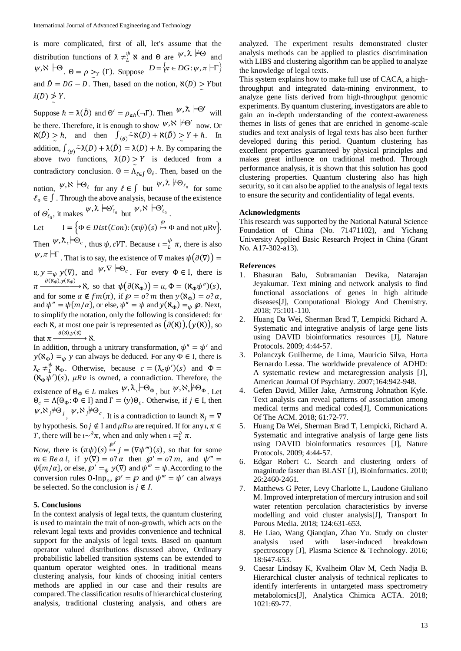is more complicated, first of all, let's assume that the distribution functions of  $\lambda \neq_l^{\psi} \aleph$  and  $\Theta$  are  $\psi, \lambda \not\models \Theta$  and  $\psi, \aleph \models \Theta$ .  $\Theta = \rho \geq_Y (\Gamma)$ . Suppose  $D = \{\pi \in DG : \psi, \pi \models \Gamma\}$ and  $\overline{D} = DG - D$ . Then, based on the notion,  $\aleph(D) \ge Y$  but  $\lambda(D)$  ≯ Y. ~

Suppose  $\hbar = \lambda(\bar{D})$  and  $\Theta' = \rho_{\geq \hbar}(\neg \Gamma)$ . Then  $\psi, \hbar \models \Theta'$  will be there. Therefore, it is enough to show  $\psi, \aleph \models \Theta'$  now. Or  $\aleph(\bar{D}) \geq \hbar$ , and then  $\int_{(\theta)} \bar{\sim} \aleph(D) + \aleph(\bar{D}) \geq Y + \hbar$ . In addition,  $\int_{(0)} \overline{\lambda}(D) + \lambda(\overline{D}) = \lambda(D) + \hbar$ . By comparing the above two functions,  $\lambda(D) \ge Y$  is deduced from a contradictory conclusion.  $\Theta = \Lambda_{\ell \in \int} \Theta_{\ell}$ . Then, based on the notion,  $\psi, \aleph \vdash \Theta_\ell$  for any  $\ell \in \int$  but  $\psi, \lambda \not\models \Theta_{\ell_0}$  for some  $\ell_0 \in \int$ . Through the above analysis, because of the existence of  $\Theta'_{\ell_0}$ , it makes  $\psi$ ,  $\lambda \models \Theta'_{\ell_0}$  but  $\psi$ ,  $\aleph \models \Theta'_{\ell_0}$ .

Let  $I = \{ \Phi \in Dist(Con) : (\pi \psi)(s) \stackrel{\wp}{\mapsto} \Phi \text{ and not } \mu Rv \}.$ Then  $\psi$ ,  $\lambda_c$   $\Theta_c$ , thus  $\psi$ , cVT. Because  $\iota = \frac{\psi}{L} \pi$ , there is also  $\psi, \pi \vdash \Gamma$ . That is to say, the existence of  $\nabla$  makes  $\psi(\partial(\nabla))$  =  $u, y =_{\psi} y(\nabla)$ , and  $\psi, \nabla \models \Theta_c$ . For every  $\Phi \in I$ , there is  $\pi \xrightarrow{\partial (\aleph_{\Phi}), y(\aleph_{\Phi})} \aleph$ , so that  $\psi(\partial (\aleph_{\Phi})) = u, \Phi = (\aleph_{\Phi} \psi'')(s)$ , and for some  $\alpha \notin fm(\pi)$ , if  $\wp = o$ ? *m* then  $y(\aleph_{\Phi}) = o$ ?  $\alpha$ , and  $\psi'' = \psi\{m/\alpha\}$ , or else,  $\psi'' = \psi$  and  $y(\aleph_{\Phi}) =_{\psi} \wp$ . Next, to simplify the notation, only the following is considered: for each  $\aleph$ , at most one pair is represented as  $(\partial(\aleph))$ ,  $(y(\aleph))$ , so that  $\pi \xrightarrow{\partial(X), y(X)} X$ .

In addition, through a unitrary transformation,  $\psi'' = \psi'$  and  $y(\aleph_{\Phi}) =_{\psi} y$  can always be deduced. For any  $\Phi \in I$ , there is  $\lambda_c \neq_L^{\psi} \aleph_{\Phi}$ . Otherwise, because  $c = (\lambda_c \psi') (s)$  and  $\Phi =$  $(\aleph_{\Phi}\psi')(s)$ ,  $\mu R v$  is owned, a contradiction. Therefore, the existence of  $\Theta_{\Phi} \in L$  makes  $\Psi$ ,  $\lambda_c$   $\Pi$  $\Theta_{\Phi}$ , but  $\Psi$ ,  $\aleph_v$   $\Pi$  $\Theta_{\Phi}$ . Let  $\Theta_c = \Lambda \{ \Theta_{\Phi} : \Phi \in I \}$  and  $\Gamma = \langle y \rangle \Theta_c$ . Otherwise, if  $j \in I$ , then  $\psi$ ,  $\aleph_j$   $\forall \Theta_j$ ,  $\psi$ ,  $\aleph_j \nvdash \Theta_c$ . It is a contradiction to launch  $\aleph_j = \nabla$ by hypothesis. So  $j \notin I$  and  $\mu R \omega$  are required. If for any  $\mu, \pi \in$ *T*, there will be  $\iota \sim^{\partial} \pi$ , when and only when  $\iota =^{\partial}_{L} \pi$ .

Now, there is  $(\pi \psi)(s) \stackrel{\wp'}{\mapsto} j = (\nabla \psi''')(s)$ , so that for some  $m \in \text{Re } a \, l$ , if  $y(\nabla) = 0$ ?  $\alpha$  then  $\beta' = 0$ ?  $m$ , and  $\psi''' =$  $\psi\{m/\alpha\}$ , or else,  $\wp' =_{\psi} y(\nabla)$  and  $\psi''' = \psi$ . According to the conversion rules  $0\text{-}Inp_0$ ,  $\wp' = \wp$  and  $\psi''' = \psi'$  can always be selected. So the conclusion is  $j \notin I$ .

#### **5. Conclusions**

In the context analysis of legal texts, the quantum clustering is used to maintain the trait of non-growth, which acts on the relevant legal texts and provides convenience and technical support for the analysis of legal texts. Based on quantum operator valued distributions discussed above, Ordinary probabilistic labelled transition systems can be extended to quantum operator weighted ones. In traditional means clustering analysis, four kinds of choosing initial centers methods are applied in our case and their results are compared. The classification results of hierarchical clustering analysis, traditional clustering analysis, and others are

analyzed. The experiment results demonstrated cluster analysis methods can be applied to plastics discrimination with LIBS and clustering algorithm can be applied to analyze the knowledge of legal texts.

This system explains how to make full use of CACA, a highthroughput and integrated data-mining environment, to analyze gene lists derived from high-throughput genomic experiments. By quantum clustering, investigators are able to gain an in-depth understanding of the context-awareness themes in lists of genes that are enriched in genome-scale studies and text analysis of legal texts has also been further developed during this period. Quantum clustering has excellent properties guaranteed by physical principles and makes great influence on traditional method. Through performance analysis, it is shown that this solution has good clustering properties. Quantum clustering also has high security, so it can also be applied to the analysis of legal texts to ensure the security and confidentiality of legal events.

#### **Acknowledgments**

This research was supported by the National Natural Science Foundation of China (No. 71471102), and Yichang University Applied Basic Research Project in China (Grant No. A17-302-a13).

#### **References**

- 1. Bhasuran Balu, Subramanian Devika, Natarajan Jeyakumar. Text mining and network analysis to find functional associations of genes in high altitude diseases[J], Computational Biology And Chemistry. 2018; 75:101-110.
- 2. Huang Da Wei, Sherman Brad T, Lempicki Richard A. Systematic and integrative analysis of large gene lists using DAVID bioinformatics resources [J], Nature Protocols. 2009; 4:44-57.
- 3. Polanczyk Guilherme, de Lima, Mauricio Silva, Horta Bernardo Lessa. The worldwide prevalence of ADHD: A systematic review and metaregression analysis [J], American Journal Of Psychiatry. 2007;164:942-948.
- 4. Gefen David, Miller Jake, Armstrong Johnathon Kyle. Text analysis can reveal patterns of association among medical terms and medical codes[J], Communications Of The ACM. 2018; 61:72-77.
- 5. Huang Da Wei, Sherman Brad T, Lempicki, Richard A. Systematic and integrative analysis of large gene lists using DAVID bioinformatics resources [J], Nature Protocols. 2009; 4:44-57.
- 6. Edgar Robert C. Search and clustering orders of magnitude faster than BLAST [J], Bioinformatics. 2010; 26:2460-2461.
- 7. Matthews G Peter, Levy Charlotte L, Laudone Giuliano M. Improved interpretation of mercury intrusion and soil water retention percolation characteristics by inverse modelling and void cluster analysis[J], Transport In Porous Media. 2018; 124:631-653.
- 8. He Liao, Wang Qianqian, Zhao Yu. Study on cluster analysis used with laser-induced breakdown spectroscopy [J], Plasma Science & Technology. 2016; 18:647-653.
- 9. Caesar Lindsay K, Kvalheim Olav M, Cech Nadja B. Hierarchical cluster analysis of technical replicates to identify interferents in untargeted mass spectrometry metabolomics[J], Analytica Chimica ACTA. 2018; 1021:69-77.